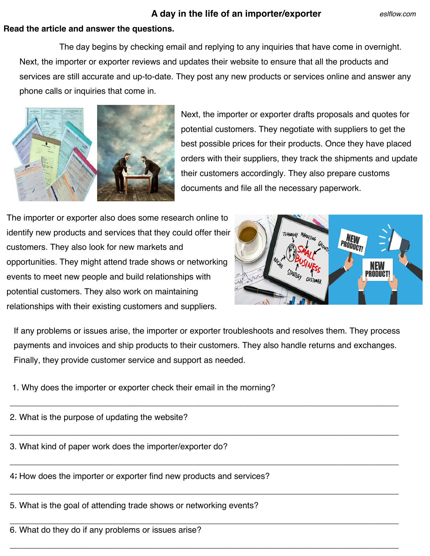## **A day in the life of an importer/exporter**

## **Read the article and answer the questions.**

 The day begins by checking email and replying to any inquiries that have come in overnight. Next, the importer or exporter reviews and updates their website to ensure that all the products and services are still accurate and up-to-date. They post any new products or services online and answer any phone calls or inquiries that come in.



Next, the importer or exporter drafts proposals and quotes for potential customers. They negotiate with suppliers to get the best possible prices for their products. Once they have placed orders with their suppliers, they track the shipments and update their customers accordingly. They also prepare customs documents and file all the necessary paperwork.

The importer or exporter also does some research online to identify new products and services that they could offer their customers. They also look for new markets and opportunities. They might attend trade shows or networking events to meet new people and build relationships with potential customers. They also work on maintaining relationships with their existing customers and suppliers.



If any problems or issues arise, the importer or exporter troubleshoots and resolves them. They process payments and invoices and ship products to their customers. They also handle returns and exchanges. Finally, they provide customer service and support as needed.

\_\_\_\_\_\_\_\_\_\_\_\_\_\_\_\_\_\_\_\_\_\_\_\_\_\_\_\_\_\_\_\_\_\_\_\_\_\_\_\_\_\_\_\_\_\_\_\_\_\_\_\_\_\_\_\_\_\_\_\_\_\_\_\_\_\_\_\_\_\_\_\_\_\_\_\_\_\_\_\_\_\_\_

\_\_\_\_\_\_\_\_\_\_\_\_\_\_\_\_\_\_\_\_\_\_\_\_\_\_\_\_\_\_\_\_\_\_\_\_\_\_\_\_\_\_\_\_\_\_\_\_\_\_\_\_\_\_\_\_\_\_\_\_\_\_\_\_\_\_\_\_\_\_\_\_\_\_\_\_\_\_\_\_\_\_\_

\_\_\_\_\_\_\_\_\_\_\_\_\_\_\_\_\_\_\_\_\_\_\_\_\_\_\_\_\_\_\_\_\_\_\_\_\_\_\_\_\_\_\_\_\_\_\_\_\_\_\_\_\_\_\_\_\_\_\_\_\_\_\_\_\_\_\_\_\_\_\_\_\_\_\_\_\_\_\_\_\_\_\_

\_\_\_\_\_\_\_\_\_\_\_\_\_\_\_\_\_\_\_\_\_\_\_\_\_\_\_\_\_\_\_\_\_\_\_\_\_\_\_\_\_\_\_\_\_\_\_\_\_\_\_\_\_\_\_\_\_\_\_\_\_\_\_\_\_\_\_\_\_\_\_\_\_\_\_\_\_\_\_\_\_\_\_

\_\_\_\_\_\_\_\_\_\_\_\_\_\_\_\_\_\_\_\_\_\_\_\_\_\_\_\_\_\_\_\_\_\_\_\_\_\_\_\_\_\_\_\_\_\_\_\_\_\_\_\_\_\_\_\_\_\_\_\_\_\_\_\_\_\_\_\_\_\_\_\_\_\_\_\_\_\_\_\_\_\_\_

1. Why does the importer or exporter check their email in the morning?

2. What is the purpose of updating the website?

3. What kind of paper work does the importer/exporter do?

**:** 4. How does the importer or exporter find new products and services?

5. What is the goal of attending trade shows or networking events?

\_\_\_\_\_\_\_\_\_\_\_\_\_\_\_\_\_\_\_\_\_\_\_\_\_\_\_\_\_\_\_\_\_\_\_\_\_\_\_\_\_\_\_\_\_\_\_\_\_\_\_\_\_\_\_\_\_\_\_\_\_\_\_\_\_\_\_\_\_\_\_\_\_\_\_\_\_\_\_\_\_\_\_ 6. What do they do if any problems or issues arise?